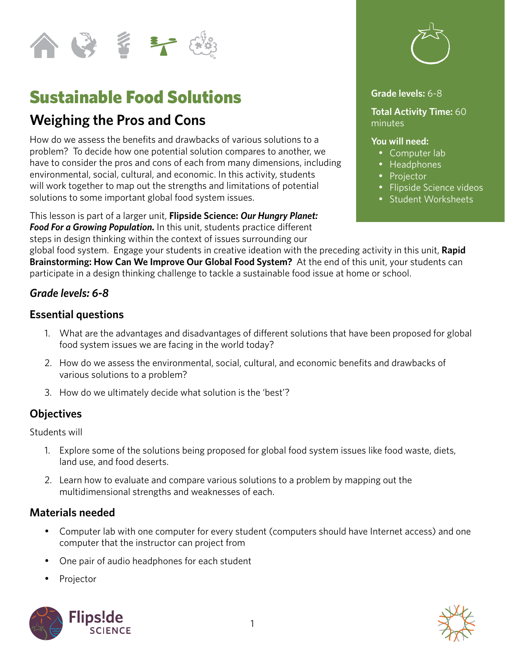

# Sustainable Food Solutions

# **Weighing the Pros and Cons**

How do we assess the benefits and drawbacks of various solutions to a problem? To decide how one potential solution compares to another, we have to consider the pros and cons of each from many dimensions, including environmental, social, cultural, and economic. In this activity, students will work together to map out the strengths and limitations of potential solutions to some important global food system issues.

This lesson is part of a larger unit, **Flipside Science:** *Our Hungry Planet: Food For a Growing Population.* In this unit, students practice different steps in design thinking within the context of issues surrounding our



#### **Grade levels:** 6-8

**Total Activity Time:** 60 minutes

#### **You will need:**

- Computer lab
- Headphones
- Projector
- • Flipside Science videos
- • Student Worksheets

global food system. Engage your students in creative ideation with the preceding activity in this unit, **Rapid Brainstorming: How Can We Improve Our Global Food System?** At the end of this unit, your students can participate in a design thinking challenge to tackle a sustainable food issue at home or school.

#### *Grade levels: 6-8*

#### **Essential questions**

- 1. What are the advantages and disadvantages of different solutions that have been proposed for global food system issues we are facing in the world today?
- 2. How do we assess the environmental, social, cultural, and economic benefits and drawbacks of various solutions to a problem?
- 3. How do we ultimately decide what solution is the 'best'?

#### **Objectives**

Students will

- 1. Explore some of the solutions being proposed for global food system issues like food waste, diets, land use, and food deserts.
- 2. Learn how to evaluate and compare various solutions to a problem by mapping out the multidimensional strengths and weaknesses of each.

#### **Materials needed**

- Computer lab with one computer for every student (computers should have Internet access) and one computer that the instructor can project from
- One pair of audio headphones for each student
- **Projector**



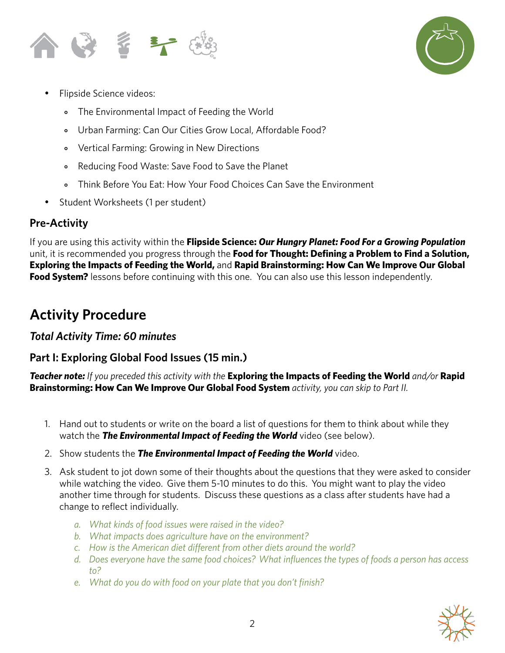



- Flipside Science videos:
	- ⃘ The Environmental Impact of Feeding the World
	- ⃘ Urban Farming: Can Our Cities Grow Local, Affordable Food?
	- ⃘ Vertical Farming: Growing in New Directions
	- ⃘ Reducing Food Waste: Save Food to Save the Planet
	- ⃘ Think Before You Eat: How Your Food Choices Can Save the Environment
- Student Worksheets (1 per student)

### **Pre-Activity**

If you are using this activity within the **Flipside Science:** *Our Hungry Planet: Food For a Growing Population* unit, it is recommended you progress through the **Food for Thought: Defining a Problem to Find a Solution, Exploring the Impacts of Feeding the World,** and **Rapid Brainstorming: How Can We Improve Our Global Food System?** lessons before continuing with this one. You can also use this lesson independently.

# **Activity Procedure**

### *Total Activity Time: 60 minutes*

# **Part I: Exploring Global Food Issues (15 min.)**

*Teacher note: If you preceded this activity with the* **Exploring the Impacts of Feeding the World** *and/or* **Rapid Brainstorming: How Can We Improve Our Global Food System** *activity, you can skip to Part II.* 

- 1. Hand out to students or write on the board a list of questions for them to think about while they watch the *The Environmental Impact of Feeding the World* video (see below).
- 2. Show students the *The Environmental Impact of Feeding the World* video.
- 3. Ask student to jot down some of their thoughts about the questions that they were asked to consider while watching the video. Give them 5-10 minutes to do this. You might want to play the video another time through for students. Discuss these questions as a class after students have had a change to reflect individually.
	- *a. What kinds of food issues were raised in the video?*
	- *b. What impacts does agriculture have on the environment?*
	- *c. How is the American diet different from other diets around the world?*
	- *d. Does everyone have the same food choices? What influences the types of foods a person has access to?*
	- *e. What do you do with food on your plate that you don't finish?*

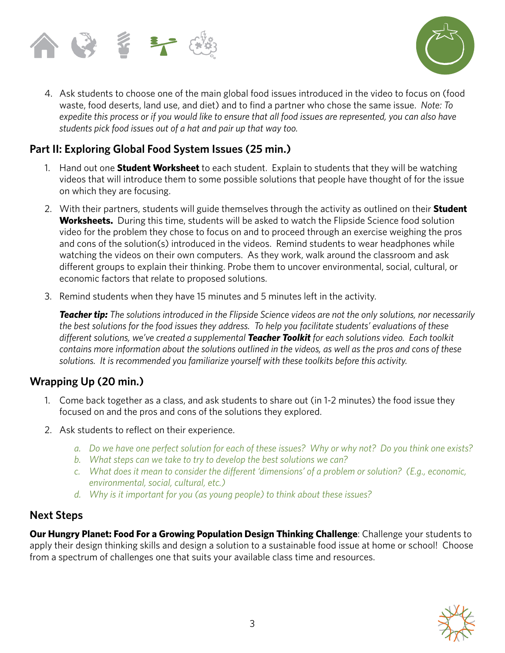



4. Ask students to choose one of the main global food issues introduced in the video to focus on (food waste, food deserts, land use, and diet) and to find a partner who chose the same issue. *Note: To expedite this process or if you would like to ensure that all food issues are represented, you can also have students pick food issues out of a hat and pair up that way too.*

## **Part II: Exploring Global Food System Issues (25 min.)**

- 1. Hand out one **Student Worksheet** to each student. Explain to students that they will be watching videos that will introduce them to some possible solutions that people have thought of for the issue on which they are focusing.
- 2. With their partners, students will guide themselves through the activity as outlined on their **Student Worksheets.** During this time, students will be asked to watch the Flipside Science food solution video for the problem they chose to focus on and to proceed through an exercise weighing the pros and cons of the solution(s) introduced in the videos. Remind students to wear headphones while watching the videos on their own computers. As they work, walk around the classroom and ask different groups to explain their thinking. Probe them to uncover environmental, social, cultural, or economic factors that relate to proposed solutions.
- 3. Remind students when they have 15 minutes and 5 minutes left in the activity.

*Teacher tip: The solutions introduced in the Flipside Science videos are not the only solutions, nor necessarily the best solutions for the food issues they address. To help you facilitate students' evaluations of these different solutions, we've created a supplemental Teacher Toolkit for each solutions video. Each toolkit contains more information about the solutions outlined in the videos, as well as the pros and cons of these solutions. It is recommended you familiarize yourself with these toolkits before this activity.*

### **Wrapping Up (20 min.)**

- 1. Come back together as a class, and ask students to share out (in 1-2 minutes) the food issue they focused on and the pros and cons of the solutions they explored.
- 2. Ask students to reflect on their experience.
	- *a. Do we have one perfect solution for each of these issues? Why or why not? Do you think one exists?*
	- *b. What steps can we take to try to develop the best solutions we can?*
	- *c. What does it mean to consider the different 'dimensions' of a problem or solution? (E.g., economic, environmental, social, cultural, etc.)*
	- *d. Why is it important for you (as young people) to think about these issues?*

#### **Next Steps**

**Our Hungry Planet: Food For a Growing Population Design Thinking Challenge: Challenge your students to** apply their design thinking skills and design a solution to a sustainable food issue at home or school! Choose from a spectrum of challenges one that suits your available class time and resources.

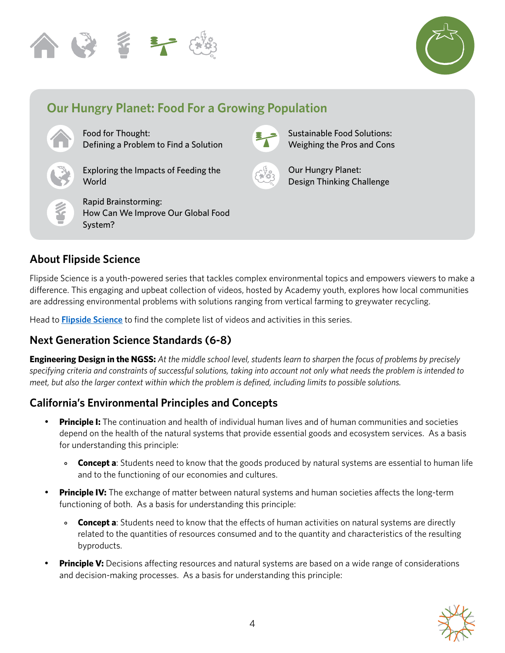



# **Our Hungry Planet: Food For a Growing Population**

Food for Thought: Defining a Problem to Find a Solution

Exploring the Impacts of Feeding the World

Rapid Brainstorming: How Can We Improve Our Global Food System?



Sustainable Food Solutions: Weighing the Pros and Cons



Our Hungry Planet: Design Thinking Challenge

# **About Flipside Science**

Flipside Science is a youth-powered series that tackles complex environmental topics and empowers viewers to make a difference. This engaging and upbeat collection of videos, hosted by Academy youth, explores how local communities are addressing environmental problems with solutions ranging from vertical farming to greywater recycling.

Head to **[Flipside Science](https://www.calacademy.org/educators/flipside-science)** to find the complete list of videos and activities in this series.

# **Next Generation Science Standards (6-8)**

**Engineering Design in the NGSS:** *At the middle school level, students learn to sharpen the focus of problems by precisely specifying criteria and constraints of successful solutions, taking into account not only what needs the problem is intended to meet, but also the larger context within which the problem is defined, including limits to possible solutions.*

# **California's Environmental Principles and Concepts**

- **Principle I:** The continuation and health of individual human lives and of human communities and societies depend on the health of the natural systems that provide essential goods and ecosystem services. As a basis for understanding this principle:
	- **Concept a**: Students need to know that the goods produced by natural systems are essential to human life and to the functioning of our economies and cultures.
- **Principle IV:** The exchange of matter between natural systems and human societies affects the long-term functioning of both. As a basis for understanding this principle:
	- **Concept a**: Students need to know that the effects of human activities on natural systems are directly related to the quantities of resources consumed and to the quantity and characteristics of the resulting byproducts.
- **Principle V:** Decisions affecting resources and natural systems are based on a wide range of considerations and decision-making processes. As a basis for understanding this principle: